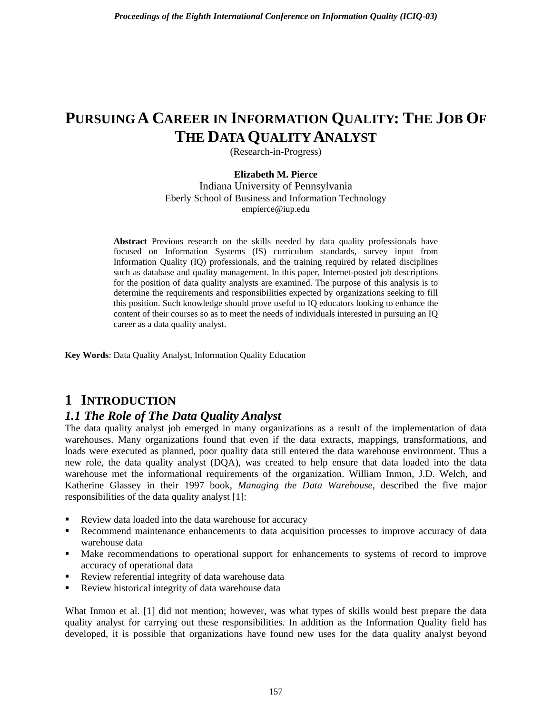# **PURSUING A CAREER IN INFORMATION QUALITY: THE JOB OF THE DATA QUALITY ANALYST**

(Research-in-Progress)

#### **Elizabeth M. Pierce**

Indiana University of Pennsylvania Eberly School of Business and Information Technology empierce@iup.edu

**Abstract** Previous research on the skills needed by data quality professionals have focused on Information Systems (IS) curriculum standards, survey input from Information Quality (IQ) professionals, and the training required by related disciplines such as database and quality management. In this paper, Internet-posted job descriptions for the position of data quality analysts are examined. The purpose of this analysis is to determine the requirements and responsibilities expected by organizations seeking to fill this position. Such knowledge should prove useful to IQ educators looking to enhance the content of their courses so as to meet the needs of individuals interested in pursuing an IQ career as a data quality analyst.

**Key Words**: Data Quality Analyst, Information Quality Education

### **1 INTRODUCTION**

#### *1.1 The Role of The Data Quality Analyst*

The data quality analyst job emerged in many organizations as a result of the implementation of data warehouses. Many organizations found that even if the data extracts, mappings, transformations, and loads were executed as planned, poor quality data still entered the data warehouse environment. Thus a new role, the data quality analyst (DQA), was created to help ensure that data loaded into the data warehouse met the informational requirements of the organization. William Inmon, J.D. Welch, and Katherine Glassey in their 1997 book, *Managing the Data Warehouse*, described the five major responsibilities of the data quality analyst [1]:

- Review data loaded into the data warehouse for accuracy
- **Recommend maintenance enhancements to data acquisition processes to improve accuracy of data** warehouse data
- Make recommendations to operational support for enhancements to systems of record to improve accuracy of operational data
- Review referential integrity of data warehouse data
- Review historical integrity of data warehouse data

What Inmon et al. [1] did not mention; however, was what types of skills would best prepare the data quality analyst for carrying out these responsibilities. In addition as the Information Quality field has developed, it is possible that organizations have found new uses for the data quality analyst beyond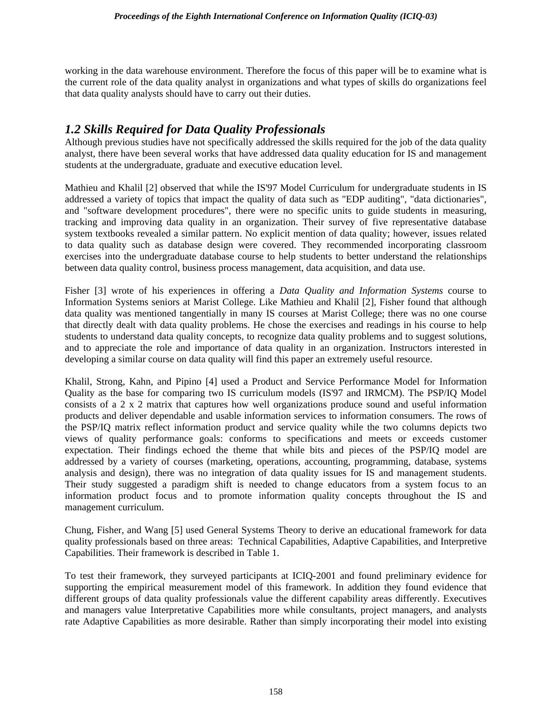working in the data warehouse environment. Therefore the focus of this paper will be to examine what is the current role of the data quality analyst in organizations and what types of skills do organizations feel that data quality analysts should have to carry out their duties.

#### *1.2 Skills Required for Data Quality Professionals*

Although previous studies have not specifically addressed the skills required for the job of the data quality analyst, there have been several works that have addressed data quality education for IS and management students at the undergraduate, graduate and executive education level.

Mathieu and Khalil [2] observed that while the IS'97 Model Curriculum for undergraduate students in IS addressed a variety of topics that impact the quality of data such as "EDP auditing", "data dictionaries", and "software development procedures", there were no specific units to guide students in measuring, tracking and improving data quality in an organization. Their survey of five representative database system textbooks revealed a similar pattern. No explicit mention of data quality; however, issues related to data quality such as database design were covered. They recommended incorporating classroom exercises into the undergraduate database course to help students to better understand the relationships between data quality control, business process management, data acquisition, and data use.

Fisher [3] wrote of his experiences in offering a *Data Quality and Information Systems* course to Information Systems seniors at Marist College. Like Mathieu and Khalil [2], Fisher found that although data quality was mentioned tangentially in many IS courses at Marist College; there was no one course that directly dealt with data quality problems. He chose the exercises and readings in his course to help students to understand data quality concepts, to recognize data quality problems and to suggest solutions, and to appreciate the role and importance of data quality in an organization. Instructors interested in developing a similar course on data quality will find this paper an extremely useful resource.

Khalil, Strong, Kahn, and Pipino [4] used a Product and Service Performance Model for Information Quality as the base for comparing two IS curriculum models (IS'97 and IRMCM). The PSP/IQ Model consists of a 2 x 2 matrix that captures how well organizations produce sound and useful information products and deliver dependable and usable information services to information consumers. The rows of the PSP/IQ matrix reflect information product and service quality while the two columns depicts two views of quality performance goals: conforms to specifications and meets or exceeds customer expectation. Their findings echoed the theme that while bits and pieces of the PSP/IQ model are addressed by a variety of courses (marketing, operations, accounting, programming, database, systems analysis and design), there was no integration of data quality issues for IS and management students. Their study suggested a paradigm shift is needed to change educators from a system focus to an information product focus and to promote information quality concepts throughout the IS and management curriculum.

Chung, Fisher, and Wang [5] used General Systems Theory to derive an educational framework for data quality professionals based on three areas: Technical Capabilities, Adaptive Capabilities, and Interpretive Capabilities. Their framework is described in Table 1.

To test their framework, they surveyed participants at ICIQ-2001 and found preliminary evidence for supporting the empirical measurement model of this framework. In addition they found evidence that different groups of data quality professionals value the different capability areas differently. Executives and managers value Interpretative Capabilities more while consultants, project managers, and analysts rate Adaptive Capabilities as more desirable. Rather than simply incorporating their model into existing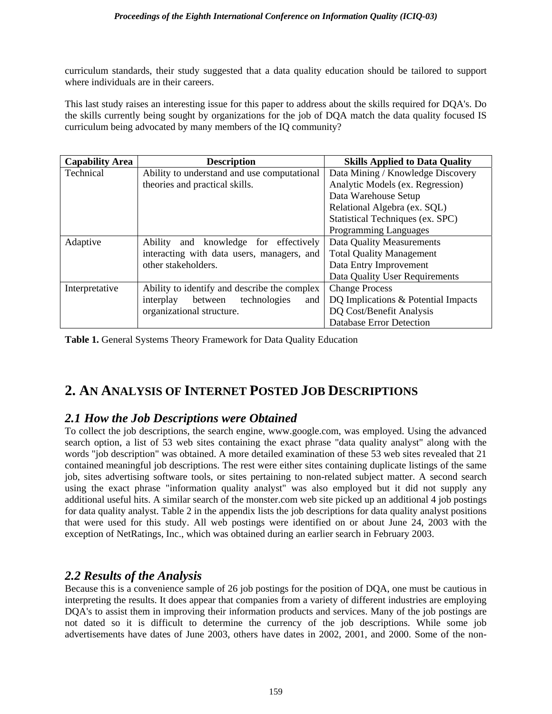curriculum standards, their study suggested that a data quality education should be tailored to support where individuals are in their careers.

This last study raises an interesting issue for this paper to address about the skills required for DQA's. Do the skills currently being sought by organizations for the job of DQA match the data quality focused IS curriculum being advocated by many members of the IQ community?

| <b>Capability Area</b> | <b>Description</b>                              | <b>Skills Applied to Data Quality</b> |
|------------------------|-------------------------------------------------|---------------------------------------|
| Technical              | Ability to understand and use computational     | Data Mining / Knowledge Discovery     |
|                        | theories and practical skills.                  | Analytic Models (ex. Regression)      |
|                        |                                                 | Data Warehouse Setup                  |
|                        |                                                 | Relational Algebra (ex. SQL)          |
|                        |                                                 | Statistical Techniques (ex. SPC)      |
|                        |                                                 | Programming Languages                 |
| Adaptive               | <b>Ability</b><br>and knowledge for effectively | Data Quality Measurements             |
|                        | interacting with data users, managers, and      | <b>Total Quality Management</b>       |
|                        | other stakeholders.                             | Data Entry Improvement                |
|                        |                                                 | Data Quality User Requirements        |
| Interpretative         | Ability to identify and describe the complex    | <b>Change Process</b>                 |
|                        | between<br>technologies<br>interplay<br>and     | DQ Implications & Potential Impacts   |
|                        | organizational structure.                       | DQ Cost/Benefit Analysis              |
|                        |                                                 | <b>Database Error Detection</b>       |

**Table 1.** General Systems Theory Framework for Data Quality Education

# **2. AN ANALYSIS OF INTERNET POSTED JOB DESCRIPTIONS**

#### *2.1 How the Job Descriptions were Obtained*

To collect the job descriptions, the search engine, www.google.com, was employed. Using the advanced search option, a list of 53 web sites containing the exact phrase "data quality analyst" along with the words "job description" was obtained. A more detailed examination of these 53 web sites revealed that 21 contained meaningful job descriptions. The rest were either sites containing duplicate listings of the same job, sites advertising software tools, or sites pertaining to non-related subject matter. A second search using the exact phrase "information quality analyst" was also employed but it did not supply any additional useful hits. A similar search of the monster.com web site picked up an additional 4 job postings for data quality analyst. Table 2 in the appendix lists the job descriptions for data quality analyst positions that were used for this study. All web postings were identified on or about June 24, 2003 with the exception of NetRatings, Inc., which was obtained during an earlier search in February 2003.

### *2.2 Results of the Analysis*

Because this is a convenience sample of 26 job postings for the position of DQA, one must be cautious in interpreting the results. It does appear that companies from a variety of different industries are employing DQA's to assist them in improving their information products and services. Many of the job postings are not dated so it is difficult to determine the currency of the job descriptions. While some job advertisements have dates of June 2003, others have dates in 2002, 2001, and 2000. Some of the non-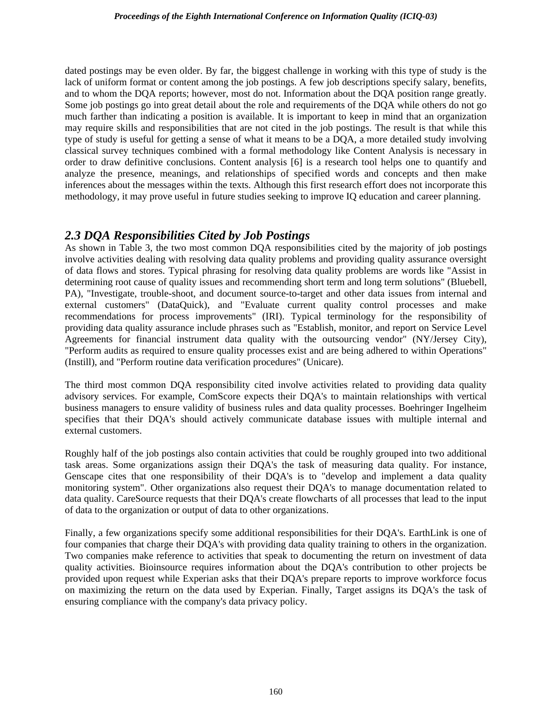#### *Proceedings of the Eighth International Conference on Information Quality (ICIQ-03)*

dated postings may be even older. By far, the biggest challenge in working with this type of study is the lack of uniform format or content among the job postings. A few job descriptions specify salary, benefits, and to whom the DQA reports; however, most do not. Information about the DQA position range greatly. Some job postings go into great detail about the role and requirements of the DQA while others do not go much farther than indicating a position is available. It is important to keep in mind that an organization may require skills and responsibilities that are not cited in the job postings. The result is that while this type of study is useful for getting a sense of what it means to be a DQA, a more detailed study involving classical survey techniques combined with a formal methodology like Content Analysis is necessary in order to draw definitive conclusions. Content analysis [6] is a research tool helps one to quantify and analyze the presence, meanings, and relationships of specified words and concepts and then make inferences about the messages within the texts. Although this first research effort does not incorporate this methodology, it may prove useful in future studies seeking to improve IQ education and career planning.

#### *2.3 DQA Responsibilities Cited by Job Postings*

As shown in Table 3, the two most common DQA responsibilities cited by the majority of job postings involve activities dealing with resolving data quality problems and providing quality assurance oversight of data flows and stores. Typical phrasing for resolving data quality problems are words like "Assist in determining root cause of quality issues and recommending short term and long term solutions" (Bluebell, PA), "Investigate, trouble-shoot, and document source-to-target and other data issues from internal and external customers" (DataQuick), and "Evaluate current quality control processes and make recommendations for process improvements" (IRI). Typical terminology for the responsibility of providing data quality assurance include phrases such as "Establish, monitor, and report on Service Level Agreements for financial instrument data quality with the outsourcing vendor" (NY/Jersey City), "Perform audits as required to ensure quality processes exist and are being adhered to within Operations" (Instill), and "Perform routine data verification procedures" (Unicare).

The third most common DQA responsibility cited involve activities related to providing data quality advisory services. For example, ComScore expects their DQA's to maintain relationships with vertical business managers to ensure validity of business rules and data quality processes. Boehringer Ingelheim specifies that their DQA's should actively communicate database issues with multiple internal and external customers.

Roughly half of the job postings also contain activities that could be roughly grouped into two additional task areas. Some organizations assign their DQA's the task of measuring data quality. For instance, Genscape cites that one responsibility of their DQA's is to "develop and implement a data quality monitoring system". Other organizations also request their DQA's to manage documentation related to data quality. CareSource requests that their DQA's create flowcharts of all processes that lead to the input of data to the organization or output of data to other organizations.

Finally, a few organizations specify some additional responsibilities for their DQA's. EarthLink is one of four companies that charge their DQA's with providing data quality training to others in the organization. Two companies make reference to activities that speak to documenting the return on investment of data quality activities. Bioinsource requires information about the DQA's contribution to other projects be provided upon request while Experian asks that their DQA's prepare reports to improve workforce focus on maximizing the return on the data used by Experian. Finally, Target assigns its DQA's the task of ensuring compliance with the company's data privacy policy.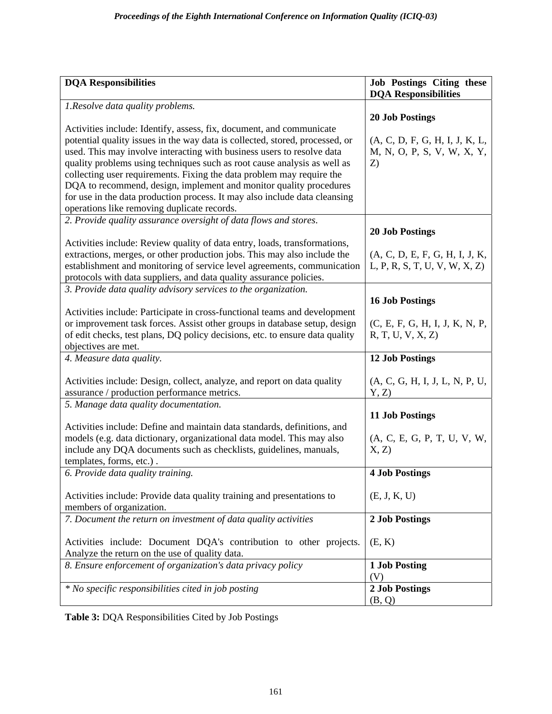| <b>DQA Responsibilities</b>                                                                                          | <b>Job Postings Citing these</b><br><b>DQA Responsibilities</b> |
|----------------------------------------------------------------------------------------------------------------------|-----------------------------------------------------------------|
| 1. Resolve data quality problems.                                                                                    |                                                                 |
|                                                                                                                      | <b>20 Job Postings</b>                                          |
| Activities include: Identify, assess, fix, document, and communicate                                                 |                                                                 |
| potential quality issues in the way data is collected, stored, processed, or                                         | (A, C, D, F, G, H, I, J, K, L,                                  |
| used. This may involve interacting with business users to resolve data                                               | M, N, O, P, S, V, W, X, Y,                                      |
| quality problems using techniques such as root cause analysis as well as                                             | Z)                                                              |
| collecting user requirements. Fixing the data problem may require the                                                |                                                                 |
| DQA to recommend, design, implement and monitor quality procedures                                                   |                                                                 |
| for use in the data production process. It may also include data cleansing                                           |                                                                 |
| operations like removing duplicate records.                                                                          |                                                                 |
| 2. Provide quality assurance oversight of data flows and stores.                                                     |                                                                 |
|                                                                                                                      | <b>20 Job Postings</b>                                          |
| Activities include: Review quality of data entry, loads, transformations,                                            |                                                                 |
| extractions, merges, or other production jobs. This may also include the                                             | (A, C, D, E, F, G, H, I, J, K,                                  |
| establishment and monitoring of service level agreements, communication                                              | L, P, R, S, T, U, V, W, X, Z)                                   |
| protocols with data suppliers, and data quality assurance policies.                                                  |                                                                 |
| 3. Provide data quality advisory services to the organization.                                                       |                                                                 |
|                                                                                                                      | <b>16 Job Postings</b>                                          |
| Activities include: Participate in cross-functional teams and development                                            |                                                                 |
| or improvement task forces. Assist other groups in database setup, design                                            | (C, E, F, G, H, I, J, K, N, P,                                  |
| of edit checks, test plans, DQ policy decisions, etc. to ensure data quality                                         | R, T, U, V, X, Z                                                |
| objectives are met.                                                                                                  |                                                                 |
| 4. Measure data quality.                                                                                             | <b>12 Job Postings</b>                                          |
|                                                                                                                      |                                                                 |
| Activities include: Design, collect, analyze, and report on data quality                                             | (A, C, G, H, I, J, L, N, P, U,                                  |
| assurance / production performance metrics.                                                                          | Y, Z                                                            |
| 5. Manage data quality documentation.                                                                                |                                                                 |
|                                                                                                                      | <b>11 Job Postings</b>                                          |
| Activities include: Define and maintain data standards, definitions, and                                             |                                                                 |
| models (e.g. data dictionary, organizational data model. This may also                                               | (A, C, E, G, P, T, U, V, W,                                     |
| include any DQA documents such as checklists, guidelines, manuals,                                                   | X, Z                                                            |
| templates, forms, etc.).                                                                                             |                                                                 |
| 6. Provide data quality training.                                                                                    | <b>4 Job Postings</b>                                           |
|                                                                                                                      |                                                                 |
| Activities include: Provide data quality training and presentations to                                               | (E, J, K, U)                                                    |
| members of organization.                                                                                             |                                                                 |
| 7. Document the return on investment of data quality activities                                                      | 2 Job Postings                                                  |
|                                                                                                                      |                                                                 |
| Activities include: Document DQA's contribution to other projects.<br>Analyze the return on the use of quality data. | (E, K)                                                          |
|                                                                                                                      |                                                                 |
| 8. Ensure enforcement of organization's data privacy policy                                                          | 1 Job Posting<br>(V)                                            |
| * No specific responsibilities cited in job posting                                                                  | 2 Job Postings                                                  |
|                                                                                                                      | (B, Q)                                                          |
|                                                                                                                      |                                                                 |

**Table 3:** DQA Responsibilities Cited by Job Postings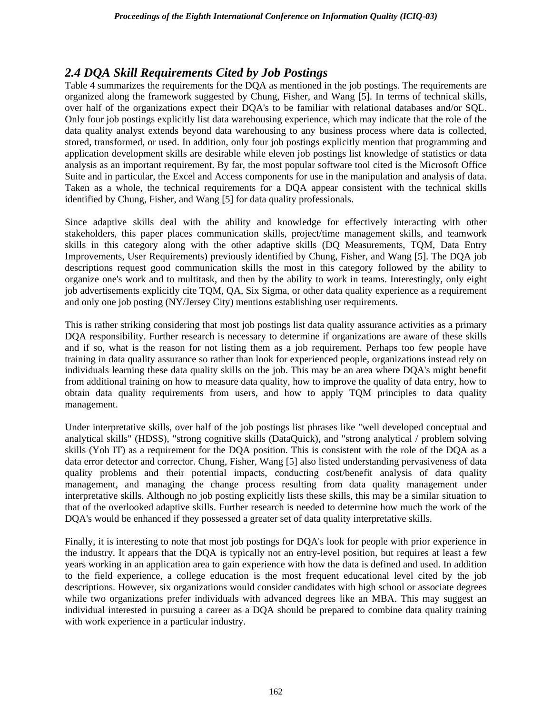#### *2.4 DQA Skill Requirements Cited by Job Postings*

Table 4 summarizes the requirements for the DQA as mentioned in the job postings. The requirements are organized along the framework suggested by Chung, Fisher, and Wang [5]. In terms of technical skills, over half of the organizations expect their DQA's to be familiar with relational databases and/or SQL. Only four job postings explicitly list data warehousing experience, which may indicate that the role of the data quality analyst extends beyond data warehousing to any business process where data is collected, stored, transformed, or used. In addition, only four job postings explicitly mention that programming and application development skills are desirable while eleven job postings list knowledge of statistics or data analysis as an important requirement. By far, the most popular software tool cited is the Microsoft Office Suite and in particular, the Excel and Access components for use in the manipulation and analysis of data. Taken as a whole, the technical requirements for a DQA appear consistent with the technical skills identified by Chung, Fisher, and Wang [5] for data quality professionals.

Since adaptive skills deal with the ability and knowledge for effectively interacting with other stakeholders, this paper places communication skills, project/time management skills, and teamwork skills in this category along with the other adaptive skills (DQ Measurements, TQM, Data Entry Improvements, User Requirements) previously identified by Chung, Fisher, and Wang [5]. The DQA job descriptions request good communication skills the most in this category followed by the ability to organize one's work and to multitask, and then by the ability to work in teams. Interestingly, only eight job advertisements explicitly cite TQM, QA, Six Sigma, or other data quality experience as a requirement and only one job posting (NY/Jersey City) mentions establishing user requirements.

This is rather striking considering that most job postings list data quality assurance activities as a primary DQA responsibility. Further research is necessary to determine if organizations are aware of these skills and if so, what is the reason for not listing them as a job requirement. Perhaps too few people have training in data quality assurance so rather than look for experienced people, organizations instead rely on individuals learning these data quality skills on the job. This may be an area where DQA's might benefit from additional training on how to measure data quality, how to improve the quality of data entry, how to obtain data quality requirements from users, and how to apply TQM principles to data quality management.

Under interpretative skills, over half of the job postings list phrases like "well developed conceptual and analytical skills" (HDSS), "strong cognitive skills (DataQuick), and "strong analytical / problem solving skills (Yoh IT) as a requirement for the DQA position. This is consistent with the role of the DQA as a data error detector and corrector. Chung, Fisher, Wang [5] also listed understanding pervasiveness of data quality problems and their potential impacts, conducting cost/benefit analysis of data quality management, and managing the change process resulting from data quality management under interpretative skills. Although no job posting explicitly lists these skills, this may be a similar situation to that of the overlooked adaptive skills. Further research is needed to determine how much the work of the DQA's would be enhanced if they possessed a greater set of data quality interpretative skills.

Finally, it is interesting to note that most job postings for DQA's look for people with prior experience in the industry. It appears that the DQA is typically not an entry-level position, but requires at least a few years working in an application area to gain experience with how the data is defined and used. In addition to the field experience, a college education is the most frequent educational level cited by the job descriptions. However, six organizations would consider candidates with high school or associate degrees while two organizations prefer individuals with advanced degrees like an MBA. This may suggest an individual interested in pursuing a career as a DQA should be prepared to combine data quality training with work experience in a particular industry.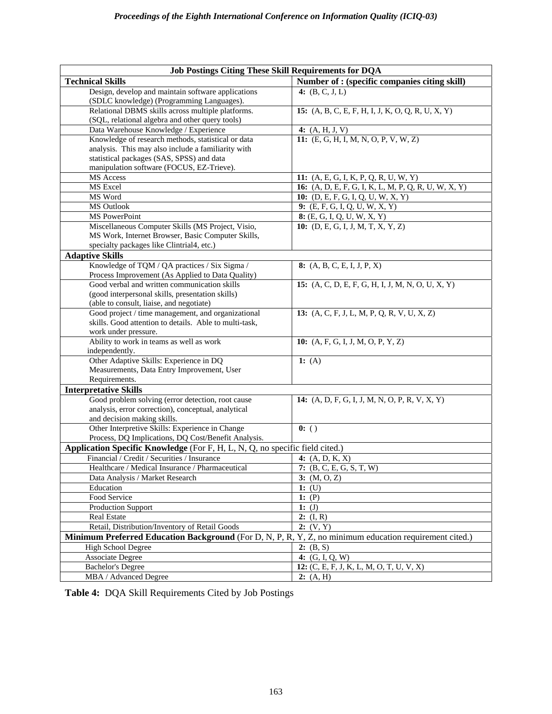| <b>Job Postings Citing These Skill Requirements for DQA</b>                                            |                                                      |  |  |  |
|--------------------------------------------------------------------------------------------------------|------------------------------------------------------|--|--|--|
| <b>Technical Skills</b>                                                                                | Number of : (specific companies citing skill)        |  |  |  |
| Design, develop and maintain software applications<br>(SDLC knowledge) (Programming Languages).        | 4: $(B, C, J, L)$                                    |  |  |  |
| Relational DBMS skills across multiple platforms.<br>(SQL, relational algebra and other query tools)   | 15: (A, B, C, E, F, H, I, J, K, O, Q, R, U, X, Y)    |  |  |  |
| Data Warehouse Knowledge / Experience                                                                  | 4: $(A, H, J, V)$                                    |  |  |  |
| Knowledge of research methods, statistical or data                                                     | 11: $(E, G, H, I, M, N, O, P, V, W, Z)$              |  |  |  |
| analysis. This may also include a familiarity with                                                     |                                                      |  |  |  |
| statistical packages (SAS, SPSS) and data                                                              |                                                      |  |  |  |
| manipulation software (FOCUS, EZ-Trieve).                                                              |                                                      |  |  |  |
| MS Access                                                                                              | 11: (A, E, G, I, K, P, Q, R, U, W, Y)                |  |  |  |
| MS Excel                                                                                               | 16: (A, D, E, F, G, I, K, L, M, P, Q, R, U, W, X, Y) |  |  |  |
| MS Word                                                                                                | 10: (D, E, F, G, I, Q, U, W, X, Y)                   |  |  |  |
| MS Outlook                                                                                             | 9: $(E, F, G, I, Q, U, W, X, Y)$                     |  |  |  |
| MS PowerPoint                                                                                          | 8: (E, G, I, Q, U, W, X, Y)                          |  |  |  |
| Miscellaneous Computer Skills (MS Project, Visio,                                                      | 10: $(D, E, G, I, J, M, T, X, Y, Z)$                 |  |  |  |
| MS Work, Internet Browser, Basic Computer Skills,                                                      |                                                      |  |  |  |
| specialty packages like Clintrial4, etc.)                                                              |                                                      |  |  |  |
| <b>Adaptive Skills</b>                                                                                 |                                                      |  |  |  |
| Knowledge of TQM / QA practices / Six Sigma /<br>Process Improvement (As Applied to Data Quality)      | 8: $(A, B, C, E, I, J, P, X)$                        |  |  |  |
| Good verbal and written communication skills                                                           | 15: $(A, C, D, E, F, G, H, I, J, M, N, O, U, X, Y)$  |  |  |  |
| (good interpersonal skills, presentation skills)                                                       |                                                      |  |  |  |
| (able to consult, liaise, and negotiate)                                                               |                                                      |  |  |  |
| Good project / time management, and organizational                                                     | 13: (A, C, F, J, L, M, P, Q, R, V, U, X, Z)          |  |  |  |
| skills. Good attention to details. Able to multi-task,                                                 |                                                      |  |  |  |
| work under pressure.                                                                                   |                                                      |  |  |  |
| Ability to work in teams as well as work<br>independently.                                             | 10: $(A, F, G, I, J, M, O, P, Y, Z)$                 |  |  |  |
| Other Adaptive Skills: Experience in DQ                                                                | 1: $(A)$                                             |  |  |  |
| Measurements, Data Entry Improvement, User                                                             |                                                      |  |  |  |
| Requirements.                                                                                          |                                                      |  |  |  |
| <b>Interpretative Skills</b>                                                                           |                                                      |  |  |  |
| Good problem solving (error detection, root cause                                                      | 14: (A, D, F, G, I, J, M, N, O, P, R, V, X, Y)       |  |  |  |
| analysis, error correction), conceptual, analytical                                                    |                                                      |  |  |  |
| and decision making skills.                                                                            |                                                      |  |  |  |
| Other Interpretive Skills: Experience in Change                                                        | 0:()                                                 |  |  |  |
| Process, DQ Implications, DQ Cost/Benefit Analysis.                                                    |                                                      |  |  |  |
| Application Specific Knowledge (For F, H, L, N, Q, no specific field cited.)                           |                                                      |  |  |  |
| Financial / Credit / Securities / Insurance                                                            | 4: $(A, D, K, X)$                                    |  |  |  |
| Healthcare / Medical Insurance / Pharmaceutical                                                        | 7: $(B, C, E, G, S, T, W)$                           |  |  |  |
| Data Analysis / Market Research                                                                        | 3: (M, O, Z)                                         |  |  |  |
| Education                                                                                              | 1: $(U)$                                             |  |  |  |
| Food Service                                                                                           | 1: $\overline{(P)}$                                  |  |  |  |
| <b>Production Support</b>                                                                              | 1: $(J)$                                             |  |  |  |
| Real Estate                                                                                            | 2: $(I, R)$                                          |  |  |  |
| 2: (V, Y)<br>Retail, Distribution/Inventory of Retail Goods                                            |                                                      |  |  |  |
| Minimum Preferred Education Background (For D, N, P, R, Y, Z, no minimum education requirement cited.) |                                                      |  |  |  |
| <b>High School Degree</b>                                                                              | 2: (B, S)                                            |  |  |  |
| <b>Associate Degree</b>                                                                                | 4: $(G, I, Q, W)$                                    |  |  |  |
| <b>Bachelor's Degree</b>                                                                               | 12: (C, E, F, J, K, L, M, O, T, U, V, X)             |  |  |  |
| MBA / Advanced Degree                                                                                  | 2: (A, H)                                            |  |  |  |

**Table 4:** DQA Skill Requirements Cited by Job Postings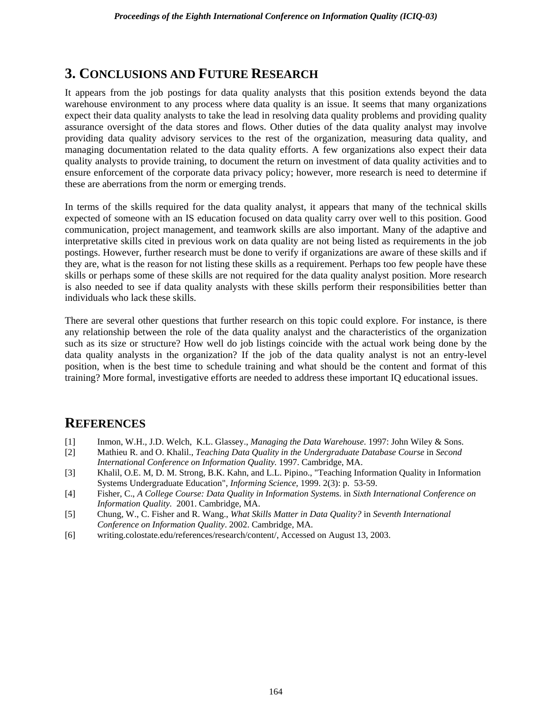## **3. CONCLUSIONS AND FUTURE RESEARCH**

It appears from the job postings for data quality analysts that this position extends beyond the data warehouse environment to any process where data quality is an issue. It seems that many organizations expect their data quality analysts to take the lead in resolving data quality problems and providing quality assurance oversight of the data stores and flows. Other duties of the data quality analyst may involve providing data quality advisory services to the rest of the organization, measuring data quality, and managing documentation related to the data quality efforts. A few organizations also expect their data quality analysts to provide training, to document the return on investment of data quality activities and to ensure enforcement of the corporate data privacy policy; however, more research is need to determine if these are aberrations from the norm or emerging trends.

In terms of the skills required for the data quality analyst, it appears that many of the technical skills expected of someone with an IS education focused on data quality carry over well to this position. Good communication, project management, and teamwork skills are also important. Many of the adaptive and interpretative skills cited in previous work on data quality are not being listed as requirements in the job postings. However, further research must be done to verify if organizations are aware of these skills and if they are, what is the reason for not listing these skills as a requirement. Perhaps too few people have these skills or perhaps some of these skills are not required for the data quality analyst position. More research is also needed to see if data quality analysts with these skills perform their responsibilities better than individuals who lack these skills.

There are several other questions that further research on this topic could explore. For instance, is there any relationship between the role of the data quality analyst and the characteristics of the organization such as its size or structure? How well do job listings coincide with the actual work being done by the data quality analysts in the organization? If the job of the data quality analyst is not an entry-level position, when is the best time to schedule training and what should be the content and format of this training? More formal, investigative efforts are needed to address these important IQ educational issues.

### **REFERENCES**

- [1] Inmon, W.H., J.D. Welch, K.L. Glassey., *Managing the Data Warehouse*. 1997: John Wiley & Sons.
- [2] Mathieu R. and O. Khalil., *Teaching Data Quality in the Undergraduate Database Course* in *Second International Conference on Information Quality.* 1997. Cambridge, MA.
- [3] Khalil, O.E. M, D. M. Strong, B.K. Kahn, and L.L. Pipino., "Teaching Information Quality in Information Systems Undergraduate Education", *Informing Science,* 1999. 2(3): p. 53-59.
- [4] Fisher, C., *A College Course: Data Quality in Information Systems.* in *Sixth International Conference on Information Quality.* 2001. Cambridge, MA.
- [5] Chung, W., C. Fisher and R. Wang., *What Skills Matter in Data Quality?* in *Seventh International Conference on Information Quality*. 2002. Cambridge, MA.
- [6] writing.colostate.edu/references/research/content/, Accessed on August 13, 2003.